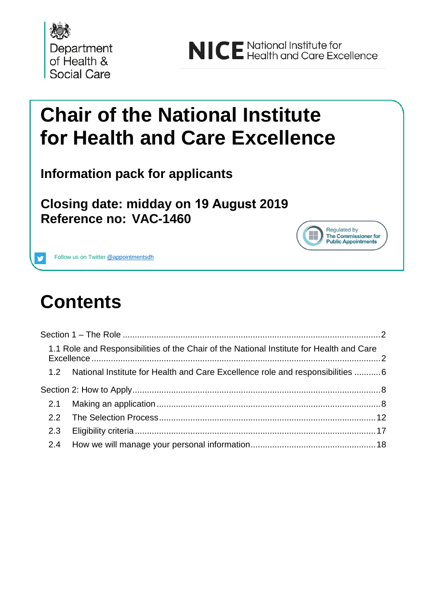

# **Chair of the National Institute for Health and Care Excellence**

**Information pack for applicants**

**Closing date: midday on 19 August 2019 Reference no: VAC-1460**



Follow us on Twitter @appointmentsdh

# **Contents**

|     | 1.1 Role and Responsibilities of the Chair of the National Institute for Health and Care |  |
|-----|------------------------------------------------------------------------------------------|--|
|     | 1.2 National Institute for Health and Care Excellence role and responsibilities 6        |  |
|     |                                                                                          |  |
|     |                                                                                          |  |
|     |                                                                                          |  |
| 2.3 |                                                                                          |  |
|     |                                                                                          |  |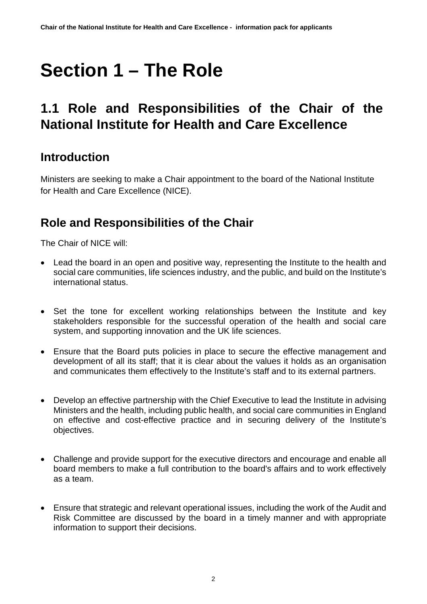# <span id="page-1-0"></span>**Section 1 – The Role**

# <span id="page-1-1"></span>**1.1 Role and Responsibilities of the Chair of the National Institute for Health and Care Excellence**

## **Introduction**

Ministers are seeking to make a Chair appointment to the board of the National Institute for Health and Care Excellence (NICE).

## **Role and Responsibilities of the Chair**

The Chair of NICE will:

- Lead the board in an open and positive way, representing the Institute to the health and social care communities, life sciences industry, and the public, and build on the Institute's international status.
- Set the tone for excellent working relationships between the Institute and key stakeholders responsible for the successful operation of the health and social care system, and supporting innovation and the UK life sciences.
- Ensure that the Board puts policies in place to secure the effective management and development of all its staff; that it is clear about the values it holds as an organisation and communicates them effectively to the Institute's staff and to its external partners.
- Develop an effective partnership with the Chief Executive to lead the Institute in advising Ministers and the health, including public health, and social care communities in England on effective and cost-effective practice and in securing delivery of the Institute's objectives.
- Challenge and provide support for the executive directors and encourage and enable all board members to make a full contribution to the board's affairs and to work effectively as a team.
- Ensure that strategic and relevant operational issues, including the work of the Audit and Risk Committee are discussed by the board in a timely manner and with appropriate information to support their decisions.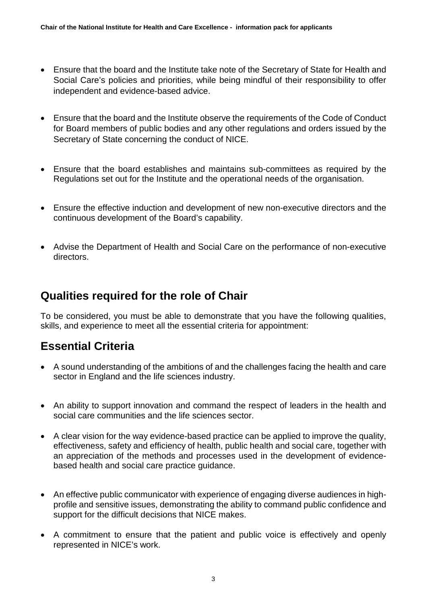- Ensure that the board and the Institute take note of the Secretary of State for Health and Social Care's policies and priorities, while being mindful of their responsibility to offer independent and evidence-based advice.
- Ensure that the board and the Institute observe the requirements of the Code of Conduct for Board members of public bodies and any other regulations and orders issued by the Secretary of State concerning the conduct of NICE.
- Ensure that the board establishes and maintains sub-committees as required by the Regulations set out for the Institute and the operational needs of the organisation.
- Ensure the effective induction and development of new non-executive directors and the continuous development of the Board's capability.
- Advise the Department of Health and Social Care on the performance of non-executive directors.

#### **Qualities required for the role of Chair**

To be considered, you must be able to demonstrate that you have the following qualities, skills, and experience to meet all the essential criteria for appointment:

#### **Essential Criteria**

- A sound understanding of the ambitions of and the challenges facing the health and care sector in England and the life sciences industry.
- An ability to support innovation and command the respect of leaders in the health and social care communities and the life sciences sector.
- A clear vision for the way evidence-based practice can be applied to improve the quality, effectiveness, safety and efficiency of health, public health and social care, together with an appreciation of the methods and processes used in the development of evidencebased health and social care practice guidance.
- An effective public communicator with experience of engaging diverse audiences in highprofile and sensitive issues, demonstrating the ability to command public confidence and support for the difficult decisions that NICE makes.
- A commitment to ensure that the patient and public voice is effectively and openly represented in NICE's work.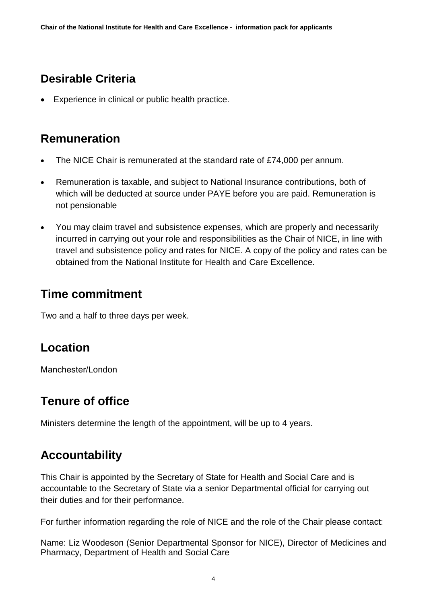## **Desirable Criteria**

• Experience in clinical or public health practice.

## **Remuneration**

- The NICE Chair is remunerated at the standard rate of £74,000 per annum.
- Remuneration is taxable, and subject to National Insurance contributions, both of which will be deducted at source under PAYE before you are paid. Remuneration is not pensionable
- You may claim travel and subsistence expenses, which are properly and necessarily incurred in carrying out your role and responsibilities as the Chair of NICE, in line with travel and subsistence policy and rates for NICE. A copy of the policy and rates can be obtained from the National Institute for Health and Care Excellence.

### **Time commitment**

Two and a half to three days per week.

### **Location**

Manchester/London

## **Tenure of office**

Ministers determine the length of the appointment, will be up to 4 years.

## **Accountability**

This Chair is appointed by the Secretary of State for Health and Social Care and is accountable to the Secretary of State via a senior Departmental official for carrying out their duties and for their performance.

For further information regarding the role of NICE and the role of the Chair please contact:

Name: Liz Woodeson (Senior Departmental Sponsor for NICE), Director of Medicines and Pharmacy, Department of Health and Social Care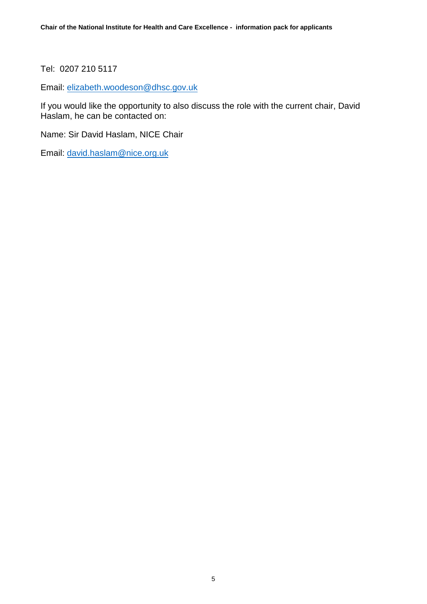Tel: 0207 210 5117

Email: [elizabeth.woodeson@dhsc.gov.uk](mailto:elizabeth.woodeson@dhsc.gov.uk)

If you would like the opportunity to also discuss the role with the current chair, David Haslam, he can be contacted on:

Name: Sir David Haslam, NICE Chair

Email: [david.haslam@nice.org.uk](mailto:david.haslam@nice.org.uk)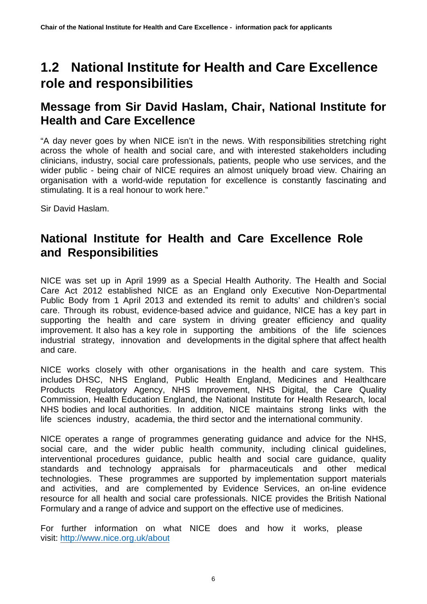## <span id="page-5-0"></span>**1.2 National Institute for Health and Care Excellence role and responsibilities**

### **Message from Sir David Haslam, Chair, National Institute for Health and Care Excellence**

"A day never goes by when NICE isn't in the news. With responsibilities stretching right across the whole of health and social care, and with interested stakeholders including clinicians, industry, social care professionals, patients, people who use services, and the wider public - being chair of NICE requires an almost uniquely broad view. Chairing an organisation with a world-wide reputation for excellence is constantly fascinating and stimulating. It is a real honour to work here."

Sir David Haslam.

## **National Institute for Health and Care Excellence Role and Responsibilities**

NICE was set up in April 1999 as a Special Health Authority. The Health and Social Care Act 2012 established NICE as an England only Executive Non-Departmental Public Body from 1 April 2013 and extended its remit to adults' and children's social care. Through its robust, evidence-based advice and guidance, NICE has a key part in supporting the health and care system in driving greater efficiency and quality improvement. It also has a key role in supporting the ambitions of the life sciences industrial strategy, innovation and developments in the digital sphere that affect health and care.

NICE works closely with other organisations in the health and care system. This includes DHSC, NHS England, Public Health England, Medicines and Healthcare Products Regulatory Agency, NHS Improvement, NHS Digital, the Care Quality Commission, Health Education England, the National Institute for Health Research, local NHS bodies and local authorities. In addition, NICE maintains strong links with the life sciences industry, academia, the third sector and the international community.

NICE operates a range of programmes generating guidance and advice for the NHS, social care, and the wider public health community, including clinical guidelines, interventional procedures guidance, public health and social care guidance, quality standards and technology appraisals for pharmaceuticals and other medical technologies. These programmes are supported by implementation support materials and activities, and are complemented by Evidence Services, an on-line evidence resource for all health and social care professionals. NICE provides the British National Formulary and a range of advice and support on the effective use of medicines.

For further [information on](http://www.nice.org.uk/about) what NICE does and how it works, please visit: http://www.nice.org.uk/about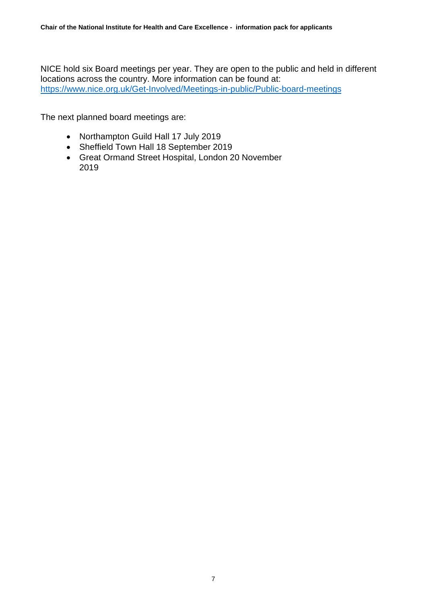NICE hold six Board meetings per year. They are open to the public and held in different locations across the country. More information can be found at: <https://www.nice.org.uk/Get-Involved/Meetings-in-public/Public-board-meetings>

The next planned board meetings are:

- Northampton Guild Hall 17 July 2019
- Sheffield Town Hall 18 September 2019
- Great Ormand Street Hospital, London 20 November 2019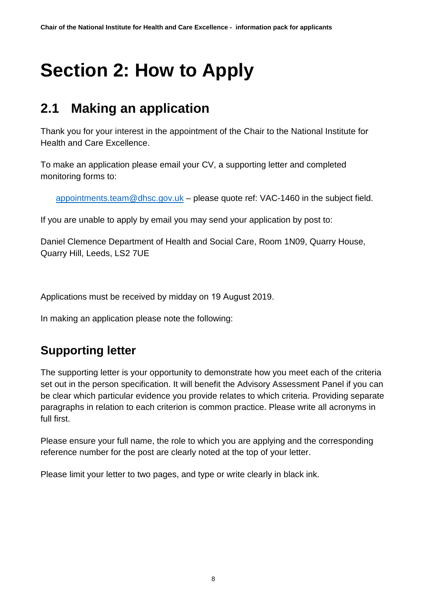# <span id="page-7-0"></span>**Section 2: How to Apply**

# <span id="page-7-1"></span>**2.1 Making an application**

Thank you for your interest in the appointment of the Chair to the National Institute for Health and Care Excellence.

To make an application please email your CV, a supporting letter and completed monitoring forms to:

[appointments.team@dhsc.gov.uk](mailto:appointments.team@dhsc.gov.uk) – please quote ref: VAC-1460 in the subject field.

If you are unable to apply by email you may send your application by post to:

Daniel Clemence Department of Health and Social Care, Room 1N09, Quarry House, Quarry Hill, Leeds, LS2 7UE

Applications must be received by midday on 19 August 2019.

In making an application please note the following:

## **Supporting letter**

The supporting letter is your opportunity to demonstrate how you meet each of the criteria set out in the person specification. It will benefit the Advisory Assessment Panel if you can be clear which particular evidence you provide relates to which criteria. Providing separate paragraphs in relation to each criterion is common practice. Please write all acronyms in full first.

Please ensure your full name, the role to which you are applying and the corresponding reference number for the post are clearly noted at the top of your letter.

Please limit your letter to two pages, and type or write clearly in black ink.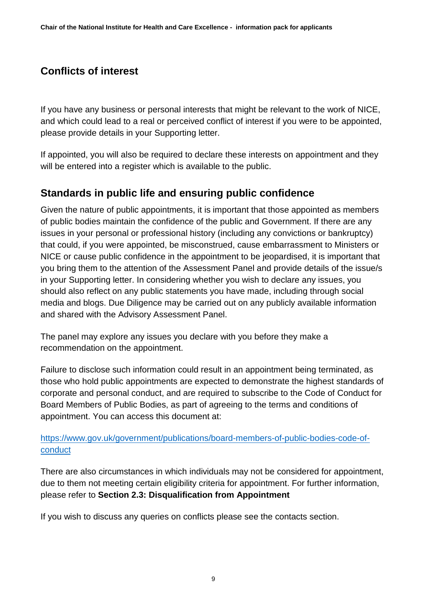#### **Conflicts of interest**

If you have any business or personal interests that might be relevant to the work of NICE, and which could lead to a real or perceived conflict of interest if you were to be appointed, please provide details in your Supporting letter.

If appointed, you will also be required to declare these interests on appointment and they will be entered into a register which is available to the public.

#### **Standards in public life and ensuring public confidence**

Given the nature of public appointments, it is important that those appointed as members of public bodies maintain the confidence of the public and Government. If there are any issues in your personal or professional history (including any convictions or bankruptcy) that could, if you were appointed, be misconstrued, cause embarrassment to Ministers or NICE or cause public confidence in the appointment to be jeopardised, it is important that you bring them to the attention of the Assessment Panel and provide details of the issue/s in your Supporting letter. In considering whether you wish to declare any issues, you should also reflect on any public statements you have made, including through social media and blogs. Due Diligence may be carried out on any publicly available information and shared with the Advisory Assessment Panel.

The panel may explore any issues you declare with you before they make a recommendation on the appointment.

Failure to disclose such information could result in an appointment being terminated, as those who hold public appointments are expected to demonstrate the highest standards of corporate and personal conduct, and are required to subscribe to the Code of Conduct for Board Members of Public Bodies, as part of agreeing to the terms and conditions of appointment. You can access this document at:

#### [https://www.gov.uk/government/publications/board-members-of-public-bodies-code-of](https://www.gov.uk/government/publications/board-members-of-public-bodies-code-of-conduct)[conduct](https://www.gov.uk/government/publications/board-members-of-public-bodies-code-of-conduct)

There are also circumstances in which individuals may not be considered for appointment, due to them not meeting certain eligibility criteria for appointment. For further information, please refer to **Section 2.3: Disqualification from Appointment**

If you wish to discuss any queries on conflicts please see the contacts section.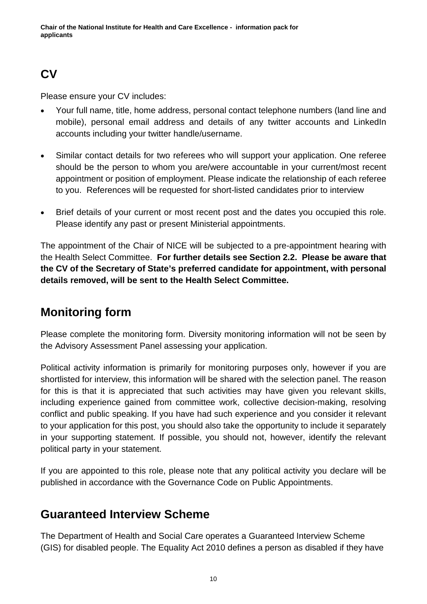## **CV**

Please ensure your CV includes:

- Your full name, title, home address, personal contact telephone numbers (land line and mobile), personal email address and details of any twitter accounts and LinkedIn accounts including your twitter handle/username.
- Similar contact details for two referees who will support your application. One referee should be the person to whom you are/were accountable in your current/most recent appointment or position of employment. Please indicate the relationship of each referee to you. References will be requested for short-listed candidates prior to interview
- Brief details of your current or most recent post and the dates you occupied this role. Please identify any past or present Ministerial appointments.

The appointment of the Chair of NICE will be subjected to a pre-appointment hearing with the Health Select Committee. **For further details see Section 2.2. Please be aware that the CV of the Secretary of State's preferred candidate for appointment, with personal details removed, will be sent to the Health Select Committee.**

## **Monitoring form**

Please complete the monitoring form. Diversity monitoring information will not be seen by the Advisory Assessment Panel assessing your application.

Political activity information is primarily for monitoring purposes only, however if you are shortlisted for interview, this information will be shared with the selection panel. The reason for this is that it is appreciated that such activities may have given you relevant skills, including experience gained from committee work, collective decision-making, resolving conflict and public speaking. If you have had such experience and you consider it relevant to your application for this post, you should also take the opportunity to include it separately in your supporting statement. If possible, you should not, however, identify the relevant political party in your statement.

If you are appointed to this role, please note that any political activity you declare will be published in accordance with the Governance Code on Public Appointments.

## **Guaranteed Interview Scheme**

The Department of Health and Social Care operates a Guaranteed Interview Scheme (GIS) for disabled people. The Equality Act 2010 defines a person as disabled if they have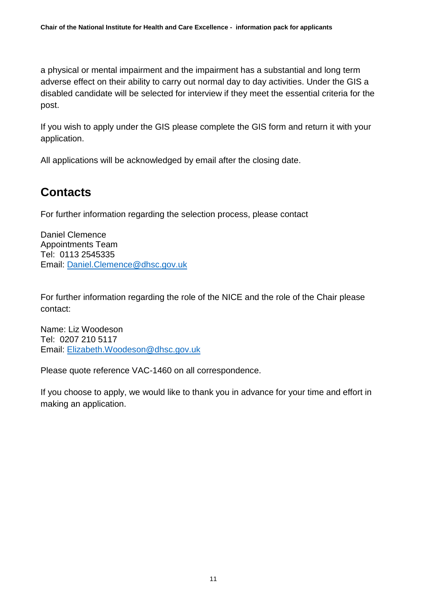a physical or mental impairment and the impairment has a substantial and long term adverse effect on their ability to carry out normal day to day activities. Under the GIS a disabled candidate will be selected for interview if they meet the essential criteria for the post.

If you wish to apply under the GIS please complete the GIS form and return it with your application.

All applications will be acknowledged by email after the closing date.

## **Contacts**

For further information regarding the selection process, please contact

Daniel Clemence Appointments Team Tel: 0113 2545335 Email: [Daniel.Clemence@dhsc.gov.uk](mailto:Daniel.Clemence@dhsc.gov.uk)

For further information regarding the role of the NICE and the role of the Chair please contact:

Name: Liz Woodeson Tel: 0207 210 5117 Email: [Elizabeth.Woodeson@dhsc.gov.uk](mailto:elizabeth.woodeson@dhsc.gov.uk)

Please quote reference VAC-1460 on all correspondence.

If you choose to apply, we would like to thank you in advance for your time and effort in making an application.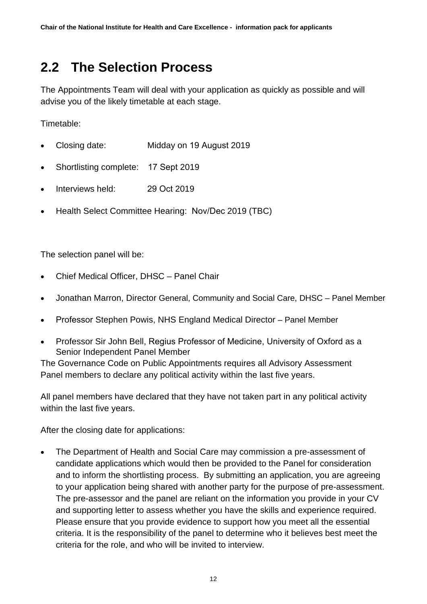# <span id="page-11-0"></span>**2.2 The Selection Process**

The Appointments Team will deal with your application as quickly as possible and will advise you of the likely timetable at each stage.

Timetable:

- Closing date: Midday on 19 August 2019
- Shortlisting complete: 17 Sept 2019
- Interviews held: 29 Oct 2019
- Health Select Committee Hearing: Nov/Dec 2019 (TBC)

The selection panel will be:

- Chief Medical Officer, DHSC Panel Chair
- Jonathan Marron, Director General, Community and Social Care, DHSC Panel Member
- Professor Stephen Powis, NHS England Medical Director Panel Member
- Professor Sir John Bell, Regius Professor of Medicine, University of Oxford as a Senior Independent Panel Member

The Governance Code on Public Appointments requires all Advisory Assessment Panel members to declare any political activity within the last five years.

All panel members have declared that they have not taken part in any political activity within the last five years.

After the closing date for applications:

• The Department of Health and Social Care may commission a pre-assessment of candidate applications which would then be provided to the Panel for consideration and to inform the shortlisting process. By submitting an application, you are agreeing to your application being shared with another party for the purpose of pre-assessment. The pre-assessor and the panel are reliant on the information you provide in your CV and supporting letter to assess whether you have the skills and experience required. Please ensure that you provide evidence to support how you meet all the essential criteria. It is the responsibility of the panel to determine who it believes best meet the criteria for the role, and who will be invited to interview.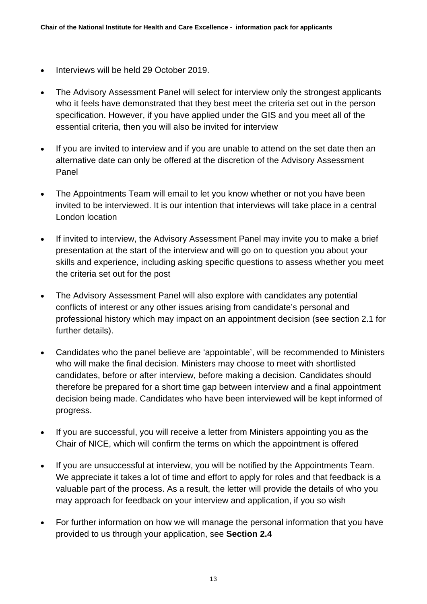- Interviews will be held 29 October 2019.
- The Advisory Assessment Panel will select for interview only the strongest applicants who it feels have demonstrated that they best meet the criteria set out in the person specification. However, if you have applied under the GIS and you meet all of the essential criteria, then you will also be invited for interview
- If you are invited to interview and if you are unable to attend on the set date then an alternative date can only be offered at the discretion of the Advisory Assessment Panel
- The Appointments Team will email to let you know whether or not you have been invited to be interviewed. It is our intention that interviews will take place in a central London location
- If invited to interview, the Advisory Assessment Panel may invite you to make a brief presentation at the start of the interview and will go on to question you about your skills and experience, including asking specific questions to assess whether you meet the criteria set out for the post
- The Advisory Assessment Panel will also explore with candidates any potential conflicts of interest or any other issues arising from candidate's personal and professional history which may impact on an appointment decision (see section 2.1 for further details).
- Candidates who the panel believe are 'appointable', will be recommended to Ministers who will make the final decision. Ministers may choose to meet with shortlisted candidates, before or after interview, before making a decision. Candidates should therefore be prepared for a short time gap between interview and a final appointment decision being made. Candidates who have been interviewed will be kept informed of progress.
- If you are successful, you will receive a letter from Ministers appointing you as the Chair of NICE, which will confirm the terms on which the appointment is offered
- If you are unsuccessful at interview, you will be notified by the Appointments Team. We appreciate it takes a lot of time and effort to apply for roles and that feedback is a valuable part of the process. As a result, the letter will provide the details of who you may approach for feedback on your interview and application, if you so wish
- For further information on how we will manage the personal information that you have provided to us through your application, see **Section 2.4**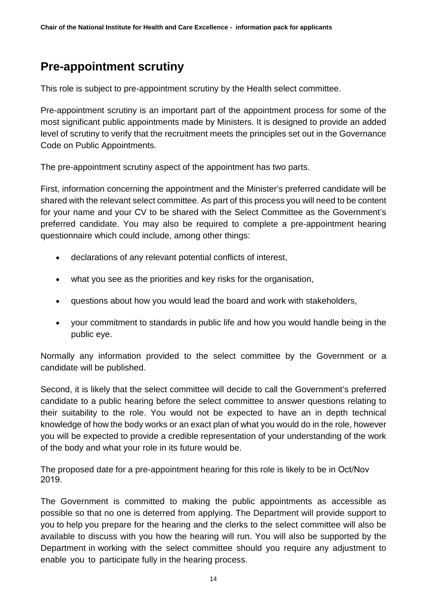## **Pre-appointment scrutiny**

This role is subject to pre-appointment scrutiny by the Health select committee.

Pre-appointment scrutiny is an important part of the appointment process for some of the most significant public appointments made by Ministers. It is designed to provide an added level of scrutiny to verify that the recruitment meets the principles set out in the Governance Code on Public Appointments.

The pre-appointment scrutiny aspect of the appointment has two parts.

First, information concerning the appointment and the Minister's preferred candidate will be shared with the relevant select committee. As part of this process you will need to be content for your name and your CV to be shared with the Select Committee as the Government's preferred candidate. You may also be required to complete a pre-appointment hearing questionnaire which could include, among other things:

- declarations of any relevant potential conflicts of interest,
- what you see as the priorities and key risks for the organisation,
- questions about how you would lead the board and work with stakeholders,
- your commitment to standards in public life and how you would handle being in the public eye.

Normally any information provided to the select committee by the Government or a candidate will be published.

Second, it is likely that the select committee will decide to call the Government's preferred candidate to a public hearing before the select committee to answer questions relating to their suitability to the role. You would not be expected to have an in depth technical knowledge of how the body works or an exact plan of what you would do in the role, however you will be expected to provide a credible representation of your understanding of the work of the body and what your role in its future would be.

The proposed date for a pre-appointment hearing for this role is likely to be in Oct/Nov 2019.

The Government is committed to making the public appointments as accessible as possible so that no one is deterred from applying. The Department will provide support to you to help you prepare for the hearing and the clerks to the select committee will also be available to discuss with you how the hearing will run. You will also be supported by the Department in working with the select committee should you require any adjustment to enable you to participate fully in the hearing process.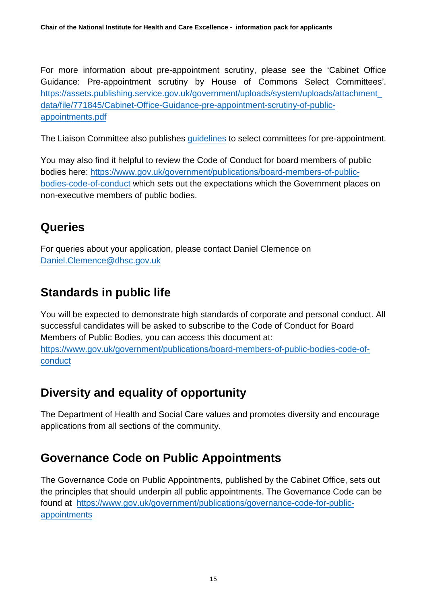For more information about pre-appointment scrutiny, please see the 'Cabinet Office Guidance: Pre-appointment scrutiny by House of Commons Select Committees'. [https://assets.publishing.service.gov.uk/government/uploads/system/uploads/attachment\\_](https://assets.publishing.service.gov.uk/government/uploads/system/uploads/attachment_data/file/771845/Cabinet-Office-Guidance-pre-appointment-scrutiny-of-public-appointments.pdf) [data/file/771845/Cabinet-Office-Guidance-pre-appointment-scrutiny-of-public](https://assets.publishing.service.gov.uk/government/uploads/system/uploads/attachment_data/file/771845/Cabinet-Office-Guidance-pre-appointment-scrutiny-of-public-appointments.pdf)[appointments.pdf](https://assets.publishing.service.gov.uk/government/uploads/system/uploads/attachment_data/file/771845/Cabinet-Office-Guidance-pre-appointment-scrutiny-of-public-appointments.pdf)

The Liaison Committee also publishes [guidelines](https://www.parliament.uk/business/committees/committees-a-z/commons-select/liaison-committee/role/pre-appointment-guidelines/) to select committees for pre-appointment.

You may also find it helpful to review the Code of Conduct for board members of public bodies here: [https://www.gov.uk/government/publications/board-members-of-public](https://www.gov.uk/government/publications/board-members-of-public-bodies-code-of-conduct)[bodies-code-of-conduct](https://www.gov.uk/government/publications/board-members-of-public-bodies-code-of-conduct) which sets out the expectations which the Government places on non-executive members of public bodies.

## **Queries**

For queries about your application, please contact Daniel Clemence on [Daniel.Clemence@dhsc.gov.uk](mailto:Daniel.Clemence@dhsc.gov.uk)

## **Standards in public life**

You will be expected to demonstrate high standards of corporate and personal conduct. All successful candidates will be asked to subscribe to the Code of Conduct for Board Members of Public Bodies, you can access this document at: [https://www.gov.uk/government/publications/board-members-of-public-bodies-code-of](https://www.gov.uk/government/publications/board-members-of-public-bodies-code-of-conduct)[conduct](https://www.gov.uk/government/publications/board-members-of-public-bodies-code-of-conduct)

## **Diversity and equality of opportunity**

The Department of Health and Social Care values and promotes diversity and encourage applications from all sections of the community.

## **Governance Code on Public Appointments**

The Governance Code on Public Appointments, published by the Cabinet Office, sets out the principles that should underpin all public appointments. The Governance Code can be found at [https://www.gov.uk/government/publications/governance-code-for-public](https://www.gov.uk/government/publications/governance-code-for-public-appointments)[appointments](https://www.gov.uk/government/publications/governance-code-for-public-appointments)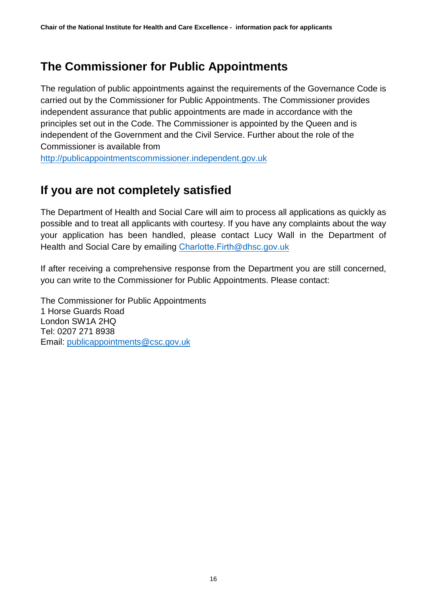## **The Commissioner for Public Appointments**

The regulation of public appointments against the requirements of the Governance Code is carried out by the Commissioner for Public Appointments. The Commissioner provides independent assurance that public appointments are made in accordance with the principles set out in the Code. The Commissioner is appointed by the Queen and is independent of the Government and the Civil Service. Further about the role of the Commissioner is available from

[http://publicappointmentscommissioner.independent.gov.uk](http://publicappointmentscommissioner.independent.gov.uk/)

## **If you are not completely satisfied**

The Department of Health and Social Care will aim to process all applications as quickly as possible and to treat all applicants with courtesy. If you have any complaints about the way your application has been handled, please contact Lucy Wall in the Department of Health and Social Care by emailing Charlotte. Firth@dhsc.gov.uk

If after receiving a comprehensive response from the Department you are still concerned, you can write to the Commissioner for Public Appointments. Please contact:

The Commissioner for Public Appointments 1 Horse Guards Road London SW1A 2HQ Tel: 0207 271 8938 Email: [publicappointments@csc.gov.uk](mailto:publicappointments@csc.gsi.gov.uk)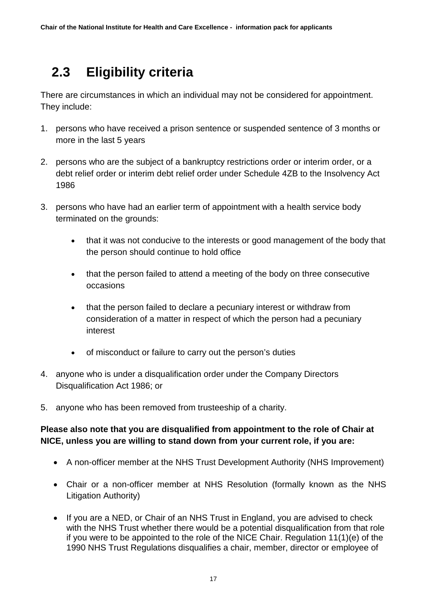# <span id="page-16-0"></span> **2.3 Eligibility criteria**

There are circumstances in which an individual may not be considered for appointment. They include:

- 1. persons who have received a prison sentence or suspended sentence of 3 months or more in the last 5 years
- 2. persons who are the subject of a bankruptcy restrictions order or interim order, or a debt relief order or interim debt relief order under Schedule 4ZB to the Insolvency Act 1986
- 3. persons who have had an earlier term of appointment with a health service body terminated on the grounds:
	- that it was not conducive to the interests or good management of the body that the person should continue to hold office
	- that the person failed to attend a meeting of the body on three consecutive occasions
	- that the person failed to declare a pecuniary interest or withdraw from consideration of a matter in respect of which the person had a pecuniary interest
	- of misconduct or failure to carry out the person's duties
- 4. anyone who is under a disqualification order under the Company Directors Disqualification Act 1986; or
- 5. anyone who has been removed from trusteeship of a charity.

#### **Please also note that you are disqualified from appointment to the role of Chair at NICE, unless you are willing to stand down from your current role, if you are:**

- A non-officer member at the NHS Trust Development Authority (NHS Improvement)
- Chair or a non-officer member at NHS Resolution (formally known as the NHS Litigation Authority)
- If you are a NED, or Chair of an NHS Trust in England, you are advised to check with the NHS Trust whether there would be a potential disqualification from that role if you were to be appointed to the role of the NICE Chair. Regulation 11(1)(e) of the 1990 NHS Trust Regulations disqualifies a chair, member, director or employee of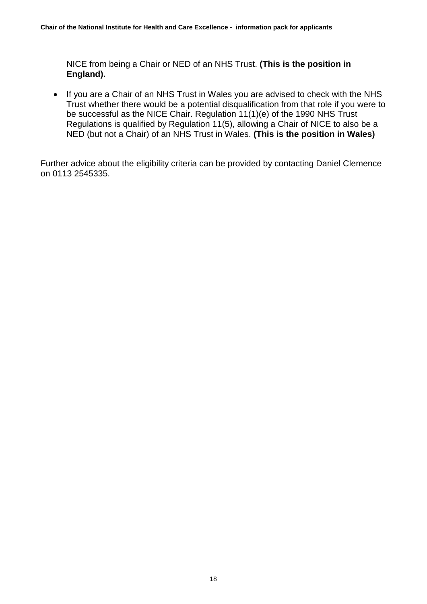<span id="page-17-0"></span>NICE from being a Chair or NED of an NHS Trust. **(This is the position in England).**

• If you are a Chair of an NHS Trust in Wales you are advised to check with the NHS Trust whether there would be a potential disqualification from that role if you were to be successful as the NICE Chair. Regulation 11(1)(e) of the 1990 NHS Trust Regulations is qualified by Regulation 11(5), allowing a Chair of NICE to also be a NED (but not a Chair) of an NHS Trust in Wales. **(This is the position in Wales)**

Further advice about the eligibility criteria can be provided by contacting Daniel Clemence on 0113 2545335.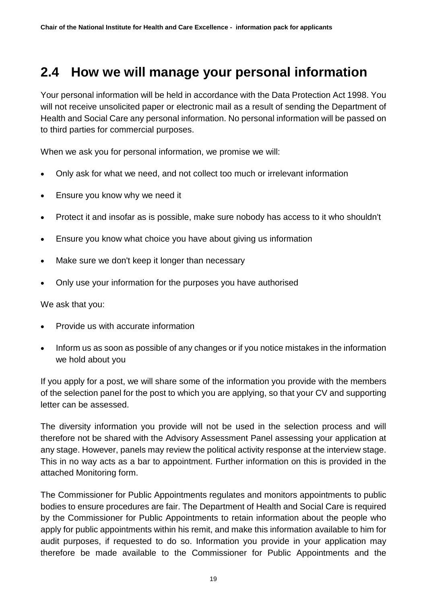## **2.4 How we will manage your personal information**

Your personal information will be held in accordance with the Data Protection Act 1998. You will not receive unsolicited paper or electronic mail as a result of sending the Department of Health and Social Care any personal information. No personal information will be passed on to third parties for commercial purposes.

When we ask you for personal information, we promise we will:

- Only ask for what we need, and not collect too much or irrelevant information
- Ensure you know why we need it
- Protect it and insofar as is possible, make sure nobody has access to it who shouldn't
- Ensure you know what choice you have about giving us information
- Make sure we don't keep it longer than necessary
- Only use your information for the purposes you have authorised

We ask that you:

- Provide us with accurate information
- Inform us as soon as possible of any changes or if you notice mistakes in the information we hold about you

If you apply for a post, we will share some of the information you provide with the members of the selection panel for the post to which you are applying, so that your CV and supporting letter can be assessed.

The diversity information you provide will not be used in the selection process and will therefore not be shared with the Advisory Assessment Panel assessing your application at any stage. However, panels may review the political activity response at the interview stage. This in no way acts as a bar to appointment. Further information on this is provided in the attached Monitoring form.

The Commissioner for Public Appointments regulates and monitors appointments to public bodies to ensure procedures are fair. The Department of Health and Social Care is required by the Commissioner for Public Appointments to retain information about the people who apply for public appointments within his remit, and make this information available to him for audit purposes, if requested to do so. Information you provide in your application may therefore be made available to the Commissioner for Public Appointments and the